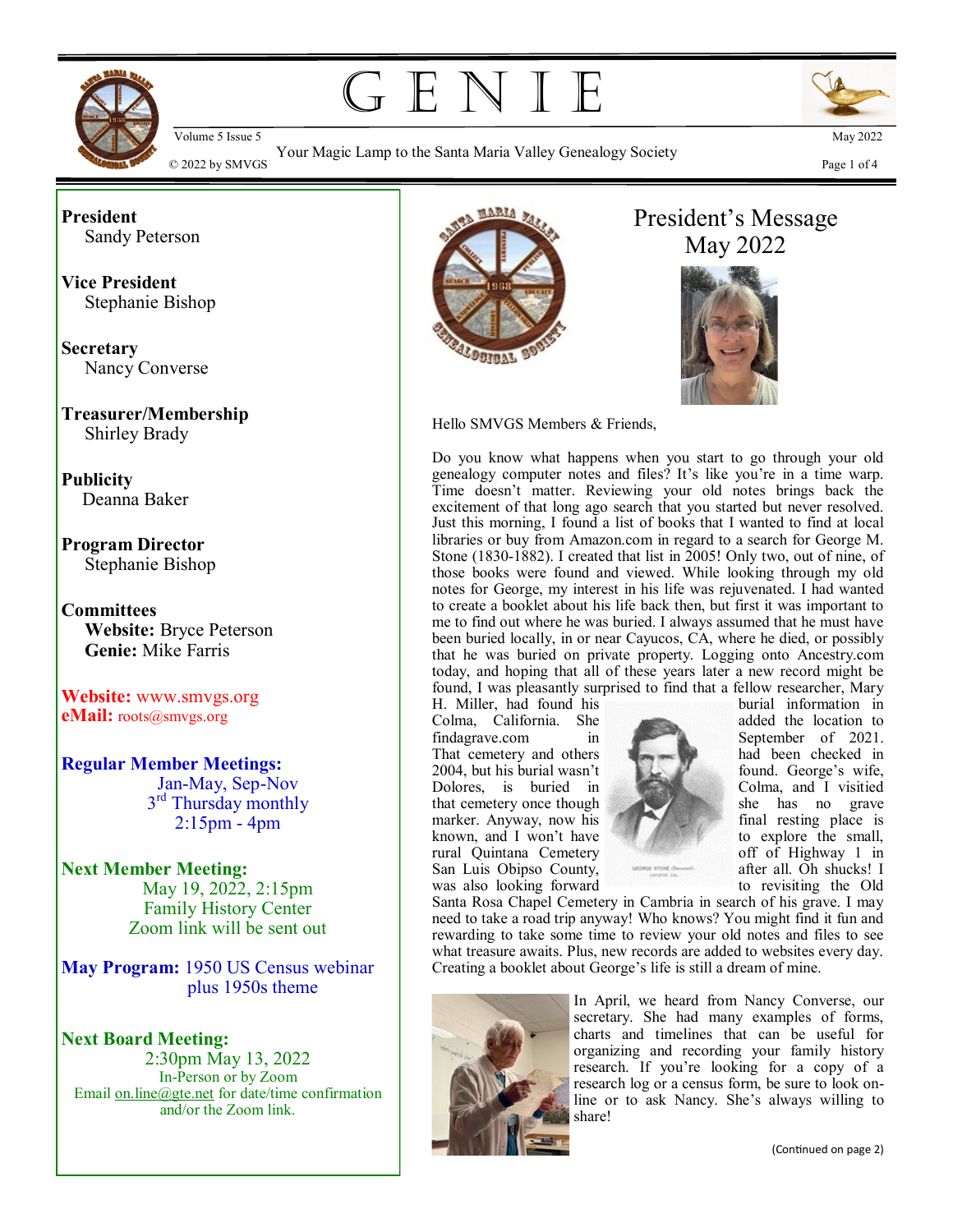

GENIE



Your Magic Lamp to the Santa Maria Valley Genealogy Society  $\degree$  2022 by SMVGS Page 1 of 4  $\degree$  2022 by SMVGS Page 1 of 4



**President** Sandy Peterson

**Vice President** Stephanie Bishop

**Secretary** Nancy Converse

**Treasurer/Membership** Shirley Brady

**Publicity** Deanna Baker

**Program Director** Stephanie Bishop

**Committees Website:** Bryce Peterson **Genie:** Mike Farris

**Website:** www.smvgs.org **eMail:** roots@smvgs.org

**Regular Member Meetings:** Jan-May, Sep-Nov 3<sup>rd</sup> Thursday monthly 2:15pm - 4pm

#### **Next Member Meeting:**  May 19, 2022, 2:15pm

Family History Center Zoom link will be sent out

**May Program:** 1950 US Census webinar plus 1950s theme

#### **Next Board Meeting:** 2:30pm May 13, 2022 In-Person or by Zoom Email [on.line@gte.net](mailto:on.line@gte.net) for date/time confirmation and/or the Zoom link.



# President's Message May 2022



Hello SMVGS Members & Friends,

Do you know what happens when you start to go through your old genealogy computer notes and files? It's like you're in a time warp. Time doesn't matter. Reviewing your old notes brings back the excitement of that long ago search that you started but never resolved. Just this morning, I found a list of books that I wanted to find at local libraries or buy from Amazon.com in regard to a search for George M. Stone (1830-1882). I created that list in 2005! Only two, out of nine, of those books were found and viewed. While looking through my old notes for George, my interest in his life was rejuvenated. I had wanted to create a booklet about his life back then, but first it was important to me to find out where he was buried. I always assumed that he must have been buried locally, in or near Cayucos, CA, where he died, or possibly that he was buried on private property. Logging onto Ancestry.com today, and hoping that all of these years later a new record might be found, I was pleasantly surprised to find that a fellow researcher, Mary

H. Miller, had found his burial information in Colma, California. She added the location to Colma, California. She findagrave.com in September of 2021.<br>That cemetery and others the best had been checked in That cemetery and others 2004, but his burial wasn't found. George's wife, Dolores, is buried in Colma, and I visitied that cemetery once though she has no grave she has no grave final resting place is marker. Anyway, now his known, and I won't have the small, rural Quintana Cemetery off of Highway 1 in San Luis Obipso County, **and the County** after all. Oh shucks! I



was also looking forward

Santa Rosa Chapel Cemetery in Cambria in search of his grave. I may need to take a road trip anyway! Who knows? You might find it fun and rewarding to take some time to review your old notes and files to see what treasure awaits. Plus, new records are added to websites every day. Creating a booklet about George's life is still a dream of mine.



In April, we heard from Nancy Converse, our secretary. She had many examples of forms, charts and timelines that can be useful for organizing and recording your family history research. If you're looking for a copy of a research log or a census form, be sure to look online or to ask Nancy. She's always willing to share!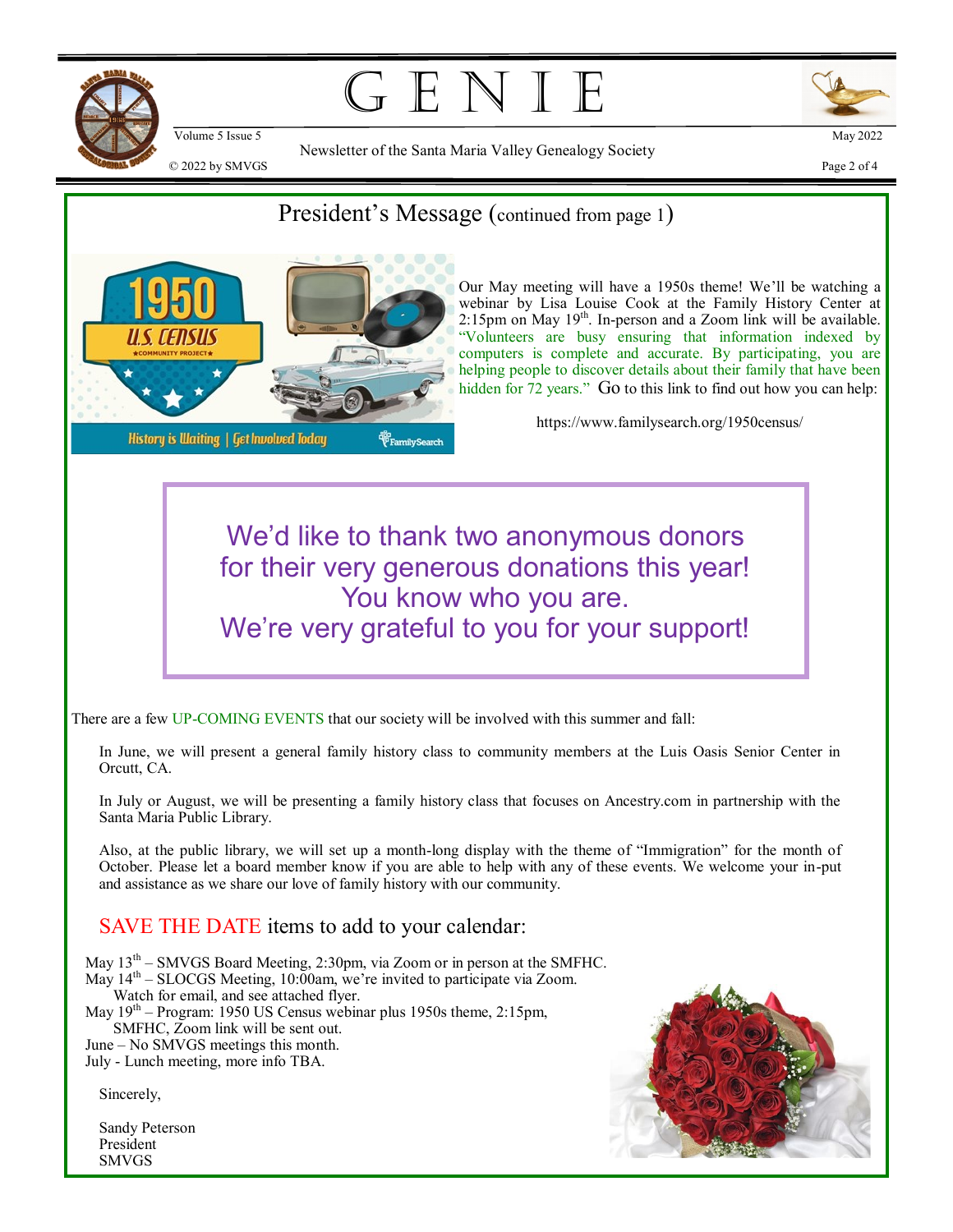

G E N I



 $\degree$  2022 by SMVGS Page 2 of 4

Newsletter of the Santa Maria Valley Genealogy Society

### President's Message (continued from page 1)



Our May meeting will have a 1950s theme! We'll be watching a webinar by Lisa Louise Cook at the Family History Center at  $2:15$ pm on May  $19<sup>th</sup>$ . In-person and a Zoom link will be available. "Volunteers are busy ensuring that information indexed by computers is complete and accurate. By participating, you are helping people to discover details about their family that have been hidden for 72 years." Go to this link to find out how you can help:

https://www.familysearch.org/1950census/

We'd like to thank two anonymous donors for their very generous donations this year! You know who you are. We're very grateful to you for your support!

There are a few UP-COMING EVENTS that our society will be involved with this summer and fall:

In June, we will present a general family history class to community members at the Luis Oasis Senior Center in Orcutt, CA.

In July or August, we will be presenting a family history class that focuses on Ancestry.com in partnership with the Santa Maria Public Library.

Also, at the public library, we will set up a month-long display with the theme of "Immigration" for the month of October. Please let a board member know if you are able to help with any of these events. We welcome your in-put and assistance as we share our love of family history with our community.

#### SAVE THE DATE items to add to your calendar:

May 13<sup>th</sup> – SMVGS Board Meeting, 2:30pm, via Zoom or in person at the SMFHC. May 14<sup>th</sup> – SLOCGS Meeting, 10:00am, we're invited to participate via Zoom. Watch for email, and see attached flyer. May 19th – Program: 1950 US Census webinar plus 1950s theme, 2:15pm, SMFHC, Zoom link will be sent out. June – No SMVGS meetings this month.

July - Lunch meeting, more info TBA.

Sincerely,

Sandy Peterson President SMVGS

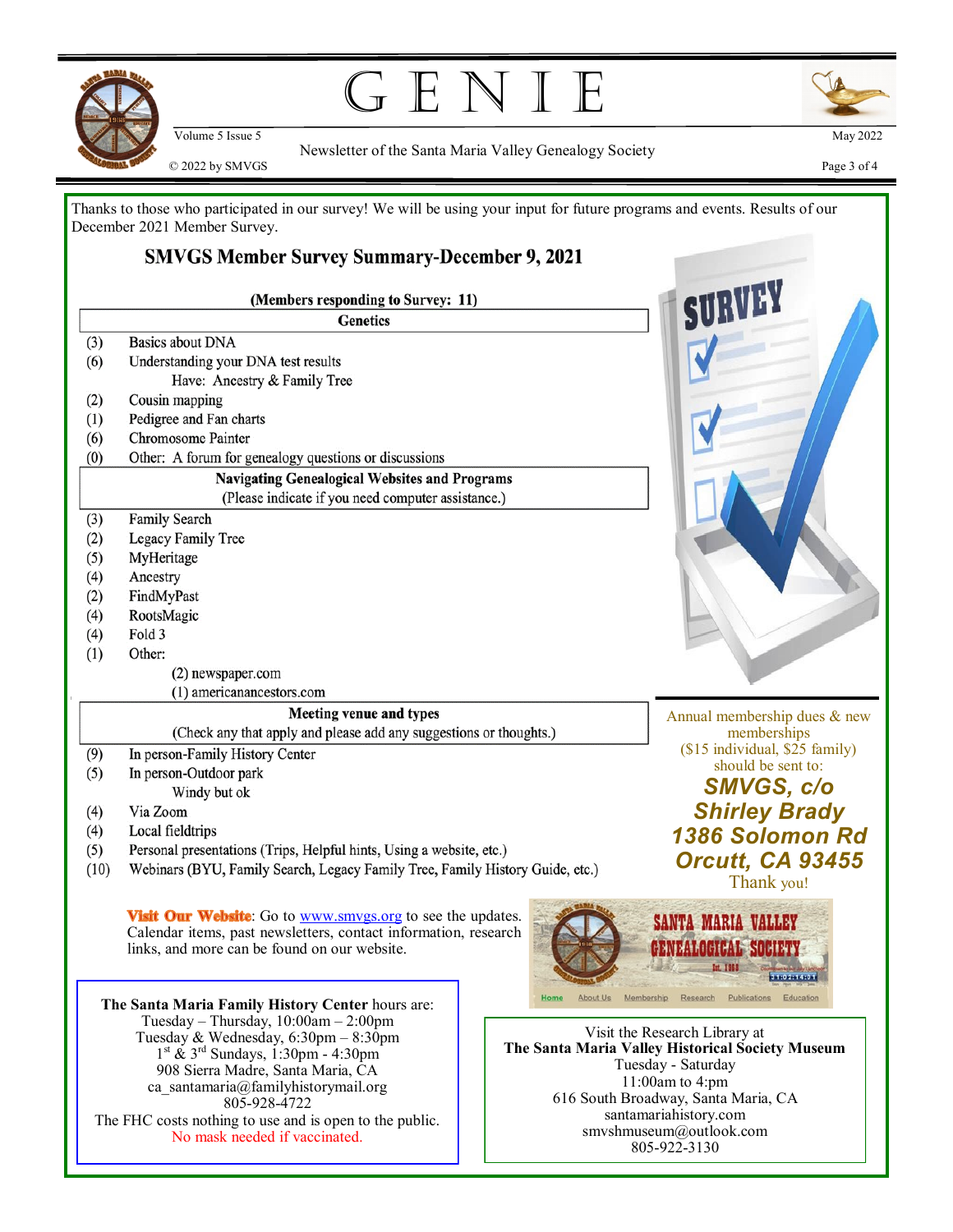

# $GENI$



Newsletter of the Santa Maria Valley Genealogy Society  $\degree$  2022 by SMVGS Page 3 of 4